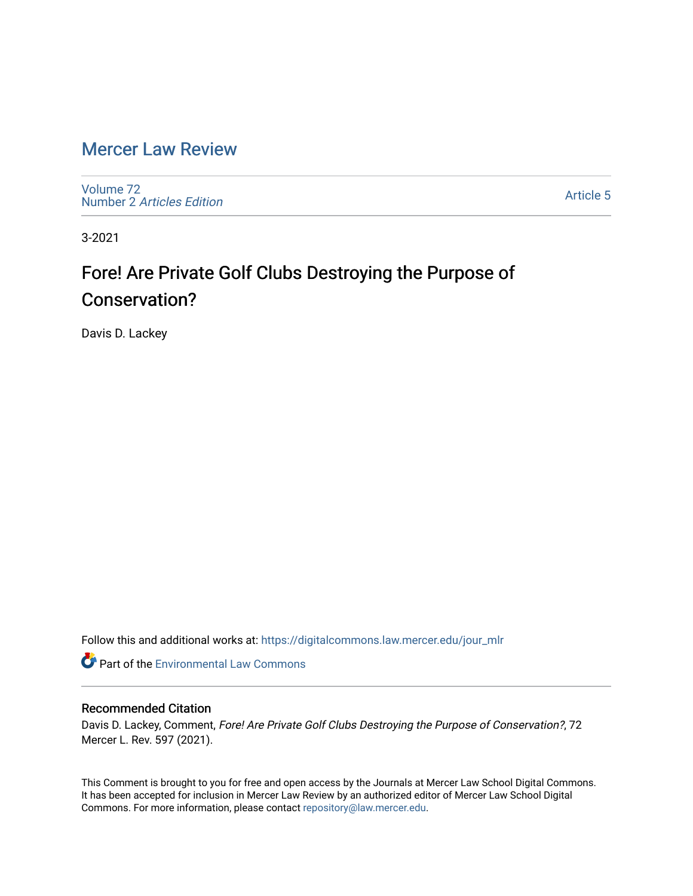# [Mercer Law Review](https://digitalcommons.law.mercer.edu/jour_mlr)

[Volume 72](https://digitalcommons.law.mercer.edu/jour_mlr/vol72) Number 2 [Articles Edition](https://digitalcommons.law.mercer.edu/jour_mlr/vol72/iss2) 

[Article 5](https://digitalcommons.law.mercer.edu/jour_mlr/vol72/iss2/5) 

3-2021

# Fore! Are Private Golf Clubs Destroying the Purpose of Conservation?

Davis D. Lackey

Follow this and additional works at: [https://digitalcommons.law.mercer.edu/jour\\_mlr](https://digitalcommons.law.mercer.edu/jour_mlr?utm_source=digitalcommons.law.mercer.edu%2Fjour_mlr%2Fvol72%2Fiss2%2F5&utm_medium=PDF&utm_campaign=PDFCoverPages)

**Part of the [Environmental Law Commons](http://network.bepress.com/hgg/discipline/599?utm_source=digitalcommons.law.mercer.edu%2Fjour_mlr%2Fvol72%2Fiss2%2F5&utm_medium=PDF&utm_campaign=PDFCoverPages)** 

# Recommended Citation

Davis D. Lackey, Comment, Fore! Are Private Golf Clubs Destroying the Purpose of Conservation?, 72 Mercer L. Rev. 597 (2021).

This Comment is brought to you for free and open access by the Journals at Mercer Law School Digital Commons. It has been accepted for inclusion in Mercer Law Review by an authorized editor of Mercer Law School Digital Commons. For more information, please contact [repository@law.mercer.edu.](mailto:repository@law.mercer.edu)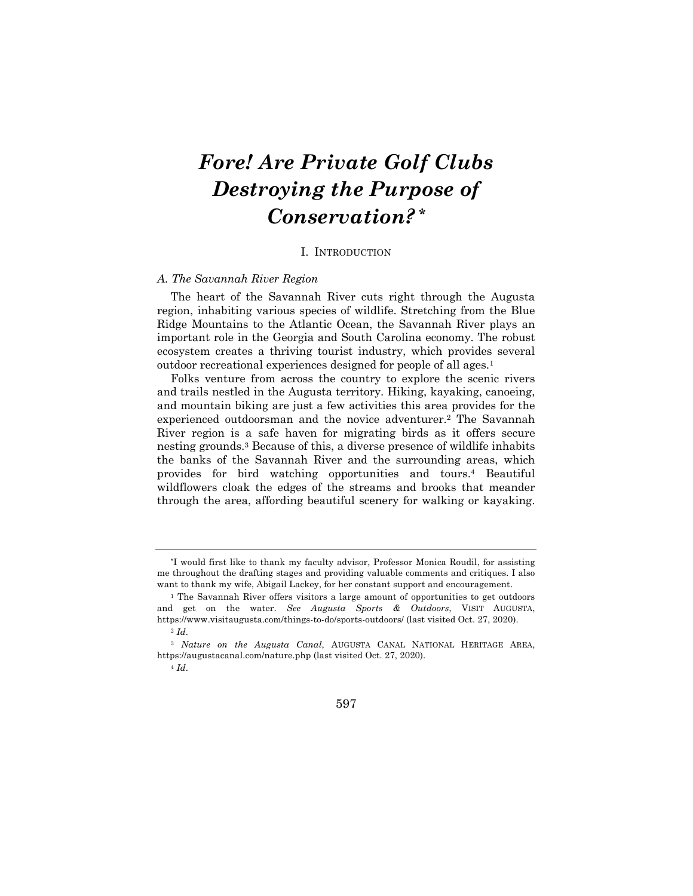# *Fore! Are Private Golf Clubs Destroying the Purpose of Conservation?* **\***

#### I. INTRODUCTION

### *A. The Savannah River Region*

The heart of the Savannah River cuts right through the Augusta region, inhabiting various species of wildlife. Stretching from the Blue Ridge Mountains to the Atlantic Ocean, the Savannah River plays an important role in the Georgia and South Carolina economy. The robust ecosystem creates a thriving tourist industry, which provides several outdoor recreational experiences designed for people of all ages.1

Folks venture from across the country to explore the scenic rivers and trails nestled in the Augusta territory. Hiking, kayaking, canoeing, and mountain biking are just a few activities this area provides for the experienced outdoorsman and the novice adventurer.2 The Savannah River region is a safe haven for migrating birds as it offers secure nesting grounds.3 Because of this, a diverse presence of wildlife inhabits the banks of the Savannah River and the surrounding areas, which provides for bird watching opportunities and tours.4 Beautiful wildflowers cloak the edges of the streams and brooks that meander through the area, affording beautiful scenery for walking or kayaking.

597

<sup>\*</sup>I would first like to thank my faculty advisor, Professor Monica Roudil, for assisting me throughout the drafting stages and providing valuable comments and critiques. I also want to thank my wife, Abigail Lackey, for her constant support and encouragement.

<sup>1</sup> The Savannah River offers visitors a large amount of opportunities to get outdoors and get on the water. *See Augusta Sports & Outdoors*, VISIT AUGUSTA, https://www.visitaugusta.com/things-to-do/sports-outdoors/ (last visited Oct. 27, 2020). <sup>2</sup> *Id*.

<sup>3</sup> *Nature on the Augusta Canal*, AUGUSTA CANAL NATIONAL HERITAGE AREA, https://augustacanal.com/nature.php (last visited Oct. 27, 2020).

<sup>4</sup> *Id*.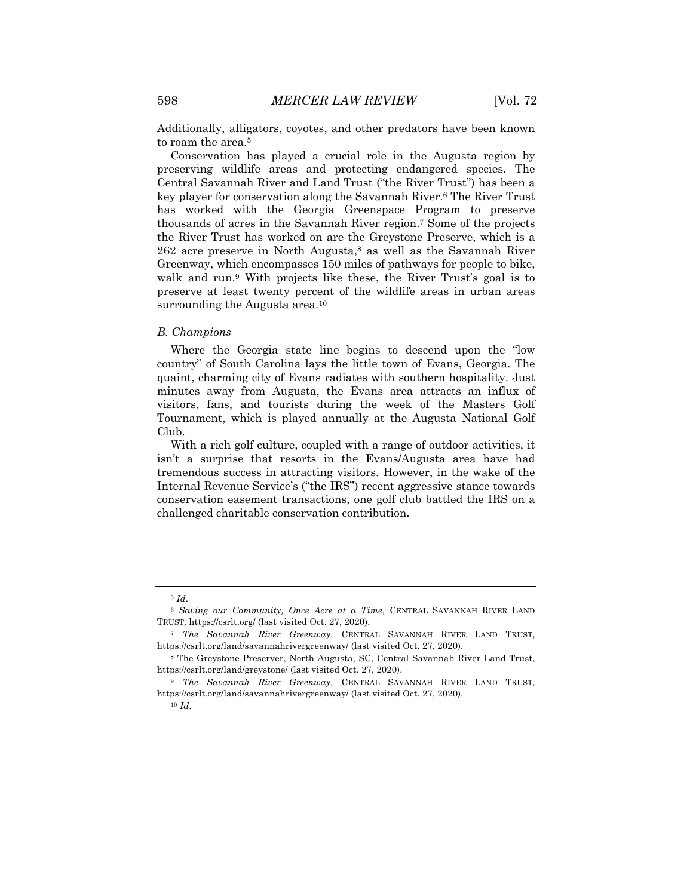Additionally, alligators, coyotes, and other predators have been known to roam the area.<sup>5</sup>

Conservation has played a crucial role in the Augusta region by preserving wildlife areas and protecting endangered species. The Central Savannah River and Land Trust ("the River Trust") has been a key player for conservation along the Savannah River.6 The River Trust has worked with the Georgia Greenspace Program to preserve thousands of acres in the Savannah River region.7 Some of the projects the River Trust has worked on are the Greystone Preserve, which is a  $262$  acre preserve in North Augusta,<sup>8</sup> as well as the Savannah River Greenway, which encompasses 150 miles of pathways for people to bike, walk and run.<sup>9</sup> With projects like these, the River Trust's goal is to preserve at least twenty percent of the wildlife areas in urban areas surrounding the Augusta area.<sup>10</sup>

#### *B. Champions*

Where the Georgia state line begins to descend upon the "low country" of South Carolina lays the little town of Evans, Georgia. The quaint, charming city of Evans radiates with southern hospitality. Just minutes away from Augusta, the Evans area attracts an influx of visitors, fans, and tourists during the week of the Masters Golf Tournament, which is played annually at the Augusta National Golf Club.

With a rich golf culture, coupled with a range of outdoor activities, it isn't a surprise that resorts in the Evans/Augusta area have had tremendous success in attracting visitors. However, in the wake of the Internal Revenue Service's ("the IRS") recent aggressive stance towards conservation easement transactions, one golf club battled the IRS on a challenged charitable conservation contribution.

<sup>5</sup> *Id*.

<sup>6</sup> *Saving our Community, Once Acre at a Time*, CENTRAL SAVANNAH RIVER LAND TRUST, https://csrlt.org/ (last visited Oct. 27, 2020).

<sup>7</sup> *The Savannah River Greenway*, CENTRAL SAVANNAH RIVER LAND TRUST, https://csrlt.org/land/savannahrivergreenway/ (last visited Oct. 27, 2020).

<sup>8</sup> The Greystone Preserver, North Augusta, SC, Central Savannah River Land Trust, https://csrlt.org/land/greystone/ (last visited Oct. 27, 2020).

<sup>9</sup> *The Savannah River Greenway*, CENTRAL SAVANNAH RIVER LAND TRUST, https://csrlt.org/land/savannahrivergreenway/ (last visited Oct. 27, 2020).

<sup>10</sup> *Id*.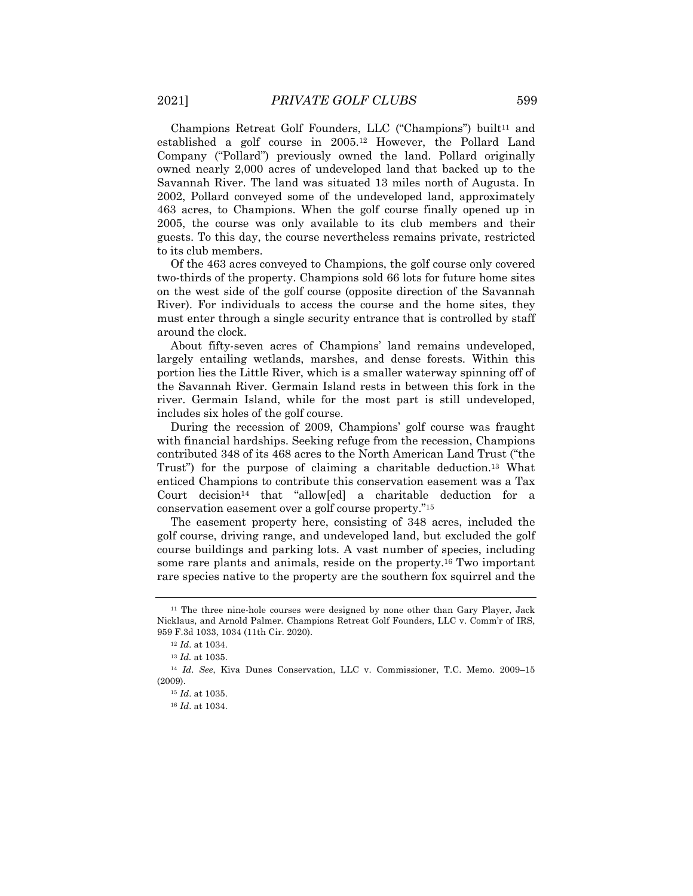Champions Retreat Golf Founders, LLC ("Champions") built<sup>11</sup> and established a golf course in 2005.12 However, the Pollard Land Company ("Pollard") previously owned the land. Pollard originally owned nearly 2,000 acres of undeveloped land that backed up to the Savannah River. The land was situated 13 miles north of Augusta. In 2002, Pollard conveyed some of the undeveloped land, approximately 463 acres, to Champions. When the golf course finally opened up in 2005, the course was only available to its club members and their guests. To this day, the course nevertheless remains private, restricted to its club members.

Of the 463 acres conveyed to Champions, the golf course only covered two-thirds of the property. Champions sold 66 lots for future home sites on the west side of the golf course (opposite direction of the Savannah River). For individuals to access the course and the home sites, they must enter through a single security entrance that is controlled by staff around the clock.

About fifty-seven acres of Champions' land remains undeveloped, largely entailing wetlands, marshes, and dense forests. Within this portion lies the Little River, which is a smaller waterway spinning off of the Savannah River. Germain Island rests in between this fork in the river. Germain Island, while for the most part is still undeveloped, includes six holes of the golf course.

During the recession of 2009, Champions' golf course was fraught with financial hardships. Seeking refuge from the recession, Champions contributed 348 of its 468 acres to the North American Land Trust ("the Trust") for the purpose of claiming a charitable deduction.13 What enticed Champions to contribute this conservation easement was a Tax Court decision<sup>14</sup> that "allow[ed] a charitable deduction for a conservation easement over a golf course property."15

The easement property here, consisting of 348 acres, included the golf course, driving range, and undeveloped land, but excluded the golf course buildings and parking lots. A vast number of species, including some rare plants and animals, reside on the property.16 Two important rare species native to the property are the southern fox squirrel and the

<sup>11</sup> The three nine-hole courses were designed by none other than Gary Player, Jack Nicklaus, and Arnold Palmer. Champions Retreat Golf Founders, LLC v. Comm'r of IRS, 959 F.3d 1033, 1034 (11th Cir. 2020).

<sup>12</sup> *Id*. at 1034.

<sup>13</sup> *Id.* at 1035.

<sup>14</sup> *Id*. *See*, Kiva Dunes Conservation, LLC v. Commissioner, T.C. Memo. 2009–15 (2009).

<sup>15</sup> *Id*. at 1035.

<sup>16</sup> *Id*. at 1034.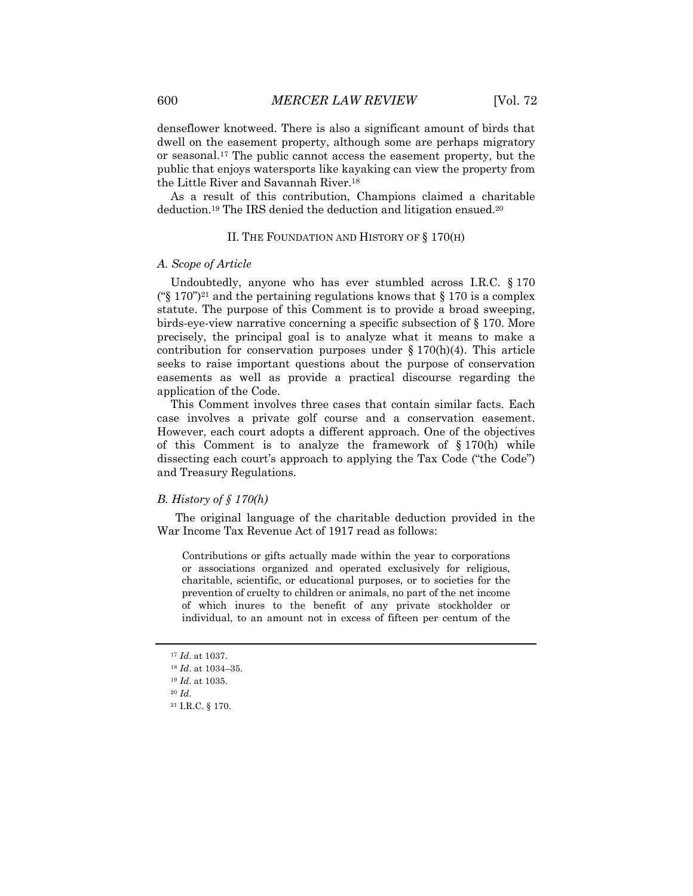denseflower knotweed. There is also a significant amount of birds that dwell on the easement property, although some are perhaps migratory or seasonal.17 The public cannot access the easement property, but the public that enjoys watersports like kayaking can view the property from the Little River and Savannah River.18

As a result of this contribution, Champions claimed a charitable deduction.19 The IRS denied the deduction and litigation ensued.20

# II. THE FOUNDATION AND HISTORY OF § 170(H)

#### *A. Scope of Article*

Undoubtedly, anyone who has ever stumbled across I.R.C. § 170 ("\\$ 170")<sup>21</sup> and the pertaining regulations knows that  $\S 170$  is a complex statute. The purpose of this Comment is to provide a broad sweeping, birds-eye-view narrative concerning a specific subsection of § 170. More precisely, the principal goal is to analyze what it means to make a contribution for conservation purposes under  $\S 170(h)(4)$ . This article seeks to raise important questions about the purpose of conservation easements as well as provide a practical discourse regarding the application of the Code.

This Comment involves three cases that contain similar facts. Each case involves a private golf course and a conservation easement. However, each court adopts a different approach. One of the objectives of this Comment is to analyze the framework of  $\S 170(h)$  while dissecting each court's approach to applying the Tax Code ("the Code") and Treasury Regulations.

# *B. History of § 170(h)*

The original language of the charitable deduction provided in the War Income Tax Revenue Act of 1917 read as follows:

Contributions or gifts actually made within the year to corporations or associations organized and operated exclusively for religious, charitable, scientific, or educational purposes, or to societies for the prevention of cruelty to children or animals, no part of the net income of which inures to the benefit of any private stockholder or individual, to an amount not in excess of fifteen per centum of the

<sup>17</sup> *Id*. at 1037.

<sup>18</sup> *Id*. at 1034–35.

<sup>19</sup> *Id*. at 1035.

<sup>20</sup> *Id*.

<sup>21</sup> I.R.C. § 170.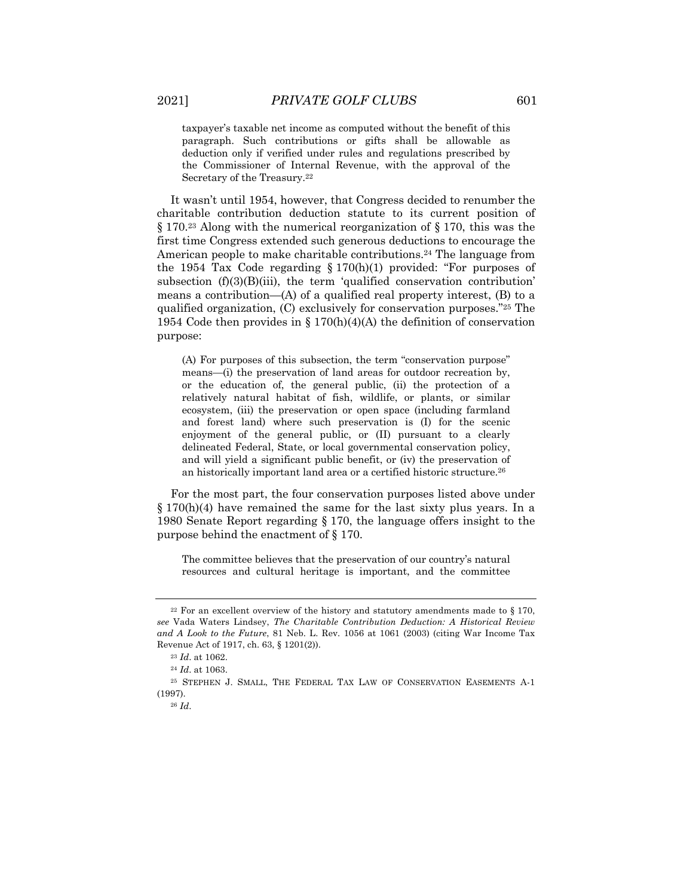taxpayer's taxable net income as computed without the benefit of this paragraph. Such contributions or gifts shall be allowable as deduction only if verified under rules and regulations prescribed by the Commissioner of Internal Revenue, with the approval of the Secretary of the Treasury.22

It wasn't until 1954, however, that Congress decided to renumber the charitable contribution deduction statute to its current position of § 170.23 Along with the numerical reorganization of § 170, this was the first time Congress extended such generous deductions to encourage the American people to make charitable contributions.24 The language from the 1954 Tax Code regarding  $\S 170(h)(1)$  provided: "For purposes of subsection  $(f)(3)(B)(iii)$ , the term 'qualified conservation contribution' means a contribution— $(A)$  of a qualified real property interest,  $(B)$  to a qualified organization, (C) exclusively for conservation purposes."25 The 1954 Code then provides in § 170(h)(4)(A) the definition of conservation purpose:

(A) For purposes of this subsection, the term "conservation purpose" means—(i) the preservation of land areas for outdoor recreation by, or the education of, the general public, (ii) the protection of a relatively natural habitat of fish, wildlife, or plants, or similar ecosystem, (iii) the preservation or open space (including farmland and forest land) where such preservation is (I) for the scenic enjoyment of the general public, or (II) pursuant to a clearly delineated Federal, State, or local governmental conservation policy, and will yield a significant public benefit, or (iv) the preservation of an historically important land area or a certified historic structure.26

For the most part, the four conservation purposes listed above under § 170(h)(4) have remained the same for the last sixty plus years. In a 1980 Senate Report regarding § 170, the language offers insight to the purpose behind the enactment of § 170.

The committee believes that the preservation of our country's natural resources and cultural heritage is important, and the committee

 $22$  For an excellent overview of the history and statutory amendments made to § 170, *see* Vada Waters Lindsey, *The Charitable Contribution Deduction: A Historical Review and A Look to the Future*, 81 Neb. L. Rev. 1056 at 1061 (2003) (citing War Income Tax Revenue Act of 1917, ch. 63, § 1201(2)).

<sup>23</sup> *Id*. at 1062.

<sup>24</sup> *Id*. at 1063.

<sup>25</sup> STEPHEN J. SMALL, THE FEDERAL TAX LAW OF CONSERVATION EASEMENTS A-1 (1997).

<sup>26</sup> *Id*.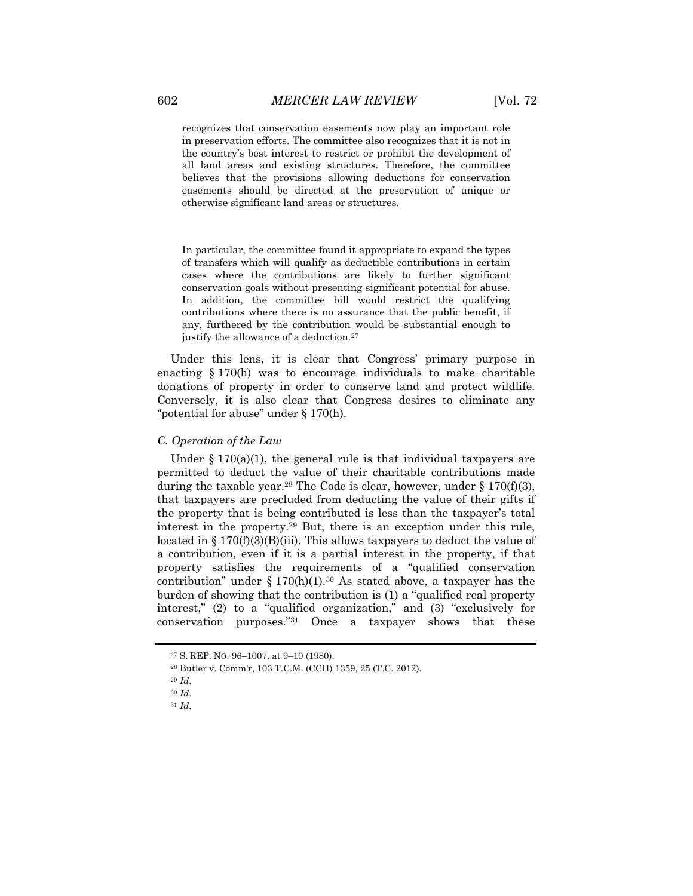recognizes that conservation easements now play an important role in preservation efforts. The committee also recognizes that it is not in the country's best interest to restrict or prohibit the development of all land areas and existing structures. Therefore, the committee believes that the provisions allowing deductions for conservation easements should be directed at the preservation of unique or otherwise significant land areas or structures.

In particular, the committee found it appropriate to expand the types of transfers which will qualify as deductible contributions in certain cases where the contributions are likely to further significant conservation goals without presenting significant potential for abuse. In addition, the committee bill would restrict the qualifying contributions where there is no assurance that the public benefit, if any, furthered by the contribution would be substantial enough to justify the allowance of a deduction.27

Under this lens, it is clear that Congress' primary purpose in enacting § 170(h) was to encourage individuals to make charitable donations of property in order to conserve land and protect wildlife. Conversely, it is also clear that Congress desires to eliminate any "potential for abuse" under § 170(h).

## *C. Operation of the Law*

Under  $\S 170(a)(1)$ , the general rule is that individual taxpayers are permitted to deduct the value of their charitable contributions made during the taxable year.<sup>28</sup> The Code is clear, however, under  $\S 170(f)(3)$ , that taxpayers are precluded from deducting the value of their gifts if the property that is being contributed is less than the taxpayer's total interest in the property.29 But, there is an exception under this rule, located in  $\S 170(f)(3)(B)(iii)$ . This allows taxpayers to deduct the value of a contribution, even if it is a partial interest in the property, if that property satisfies the requirements of a "qualified conservation contribution" under  $\S 170(h)(1).^{30}$  As stated above, a taxpayer has the burden of showing that the contribution is (1) a "qualified real property interest," (2) to a "qualified organization," and (3) "exclusively for conservation purposes."31 Once a taxpayer shows that these

<sup>27</sup> S. REP. NO. 96–1007, at 9–10 (1980).

<sup>28</sup> Butler v. Comm'r, 103 T.C.M. (CCH) 1359, 25 (T.C. 2012).

<sup>29</sup> *Id*.

<sup>30</sup> *Id*.

<sup>31</sup> *Id*.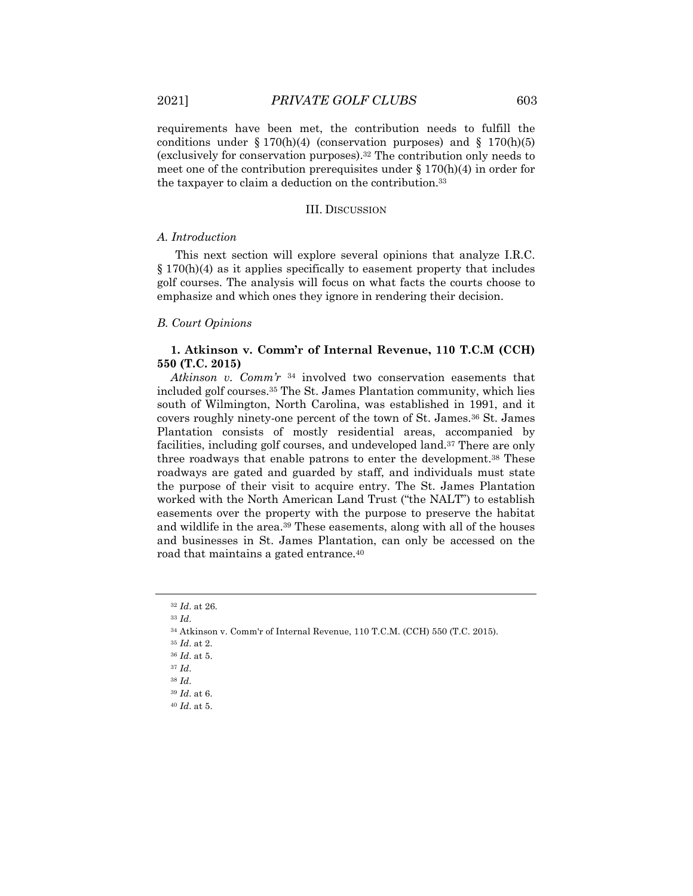requirements have been met, the contribution needs to fulfill the conditions under  $\S 170(h)(4)$  (conservation purposes) and  $\S 170(h)(5)$ (exclusively for conservation purposes).32 The contribution only needs to meet one of the contribution prerequisites under  $\S 170(h)(4)$  in order for the taxpayer to claim a deduction on the contribution.33

#### III. DISCUSSION

#### *A. Introduction*

This next section will explore several opinions that analyze I.R.C.  $\S 170(h)(4)$  as it applies specifically to easement property that includes golf courses. The analysis will focus on what facts the courts choose to emphasize and which ones they ignore in rendering their decision.

# *B. Court Opinions*

# **1. Atkinson v. Comm'r of Internal Revenue, 110 T.C.M (CCH) 550 (T.C. 2015)**

*Atkinson v. Comm'r* <sup>34</sup> involved two conservation easements that included golf courses.35 The St. James Plantation community, which lies south of Wilmington, North Carolina, was established in 1991, and it covers roughly ninety-one percent of the town of St. James.36 St. James Plantation consists of mostly residential areas, accompanied by facilities, including golf courses, and undeveloped land.37 There are only three roadways that enable patrons to enter the development.38 These roadways are gated and guarded by staff, and individuals must state the purpose of their visit to acquire entry. The St. James Plantation worked with the North American Land Trust ("the NALT") to establish easements over the property with the purpose to preserve the habitat and wildlife in the area.<sup>39</sup> These easements, along with all of the houses and businesses in St. James Plantation, can only be accessed on the road that maintains a gated entrance.40

<sup>32</sup> *Id*. at 26*.*

<sup>33</sup> *Id*.

<sup>34</sup> Atkinson v. Comm'r of Internal Revenue, 110 T.C.M. (CCH) 550 (T.C. 2015).

<sup>35</sup> *Id*. at 2.

<sup>36</sup> *Id*. at 5.

<sup>37</sup> *Id*.

<sup>39</sup> *Id*. at 6.

<sup>40</sup> *Id*. at 5.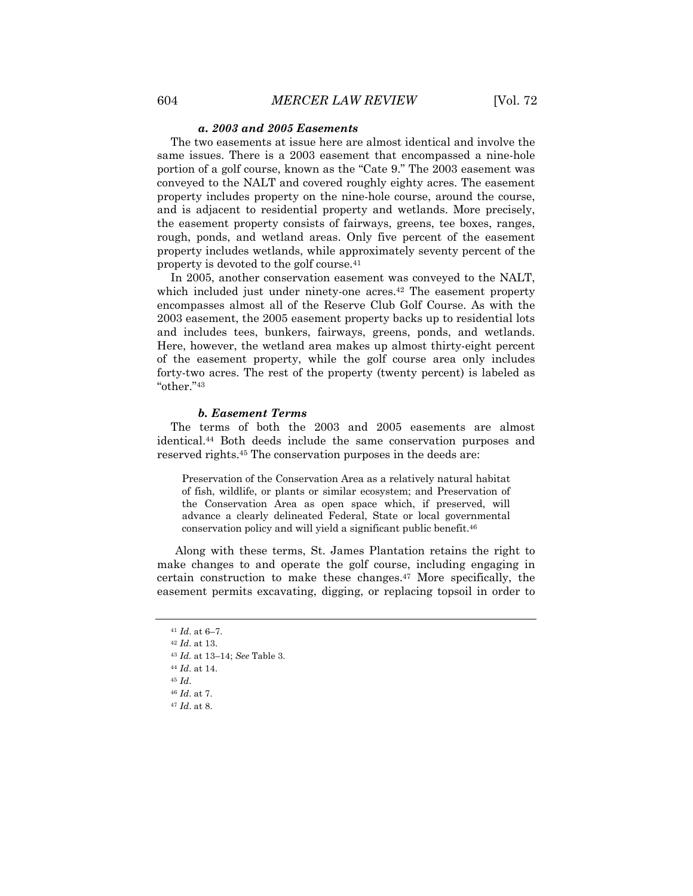#### *a. 2003 and 2005 Easements*

The two easements at issue here are almost identical and involve the same issues. There is a 2003 easement that encompassed a nine-hole portion of a golf course, known as the "Cate 9." The 2003 easement was conveyed to the NALT and covered roughly eighty acres. The easement property includes property on the nine-hole course, around the course, and is adjacent to residential property and wetlands. More precisely, the easement property consists of fairways, greens, tee boxes, ranges, rough, ponds, and wetland areas. Only five percent of the easement property includes wetlands, while approximately seventy percent of the property is devoted to the golf course.41

In 2005, another conservation easement was conveyed to the NALT, which included just under ninety-one acres.<sup>42</sup> The easement property encompasses almost all of the Reserve Club Golf Course. As with the 2003 easement, the 2005 easement property backs up to residential lots and includes tees, bunkers, fairways, greens, ponds, and wetlands. Here, however, the wetland area makes up almost thirty-eight percent of the easement property, while the golf course area only includes forty-two acres. The rest of the property (twenty percent) is labeled as "other."43

#### *b. Easement Terms*

The terms of both the 2003 and 2005 easements are almost identical.44 Both deeds include the same conservation purposes and reserved rights.45 The conservation purposes in the deeds are:

Preservation of the Conservation Area as a relatively natural habitat of fish, wildlife, or plants or similar ecosystem; and Preservation of the Conservation Area as open space which, if preserved, will advance a clearly delineated Federal, State or local governmental conservation policy and will yield a significant public benefit.46

Along with these terms, St. James Plantation retains the right to make changes to and operate the golf course, including engaging in certain construction to make these changes.47 More specifically, the easement permits excavating, digging, or replacing topsoil in order to

<sup>41</sup> *Id*. at 6–7.

<sup>42</sup> *Id*. at 13.

<sup>43</sup> *Id.* at 13–14; *See* Table 3.

<sup>44</sup> *Id*. at 14.

<sup>46</sup> *Id*. at 7.

<sup>47</sup> *Id*. at 8.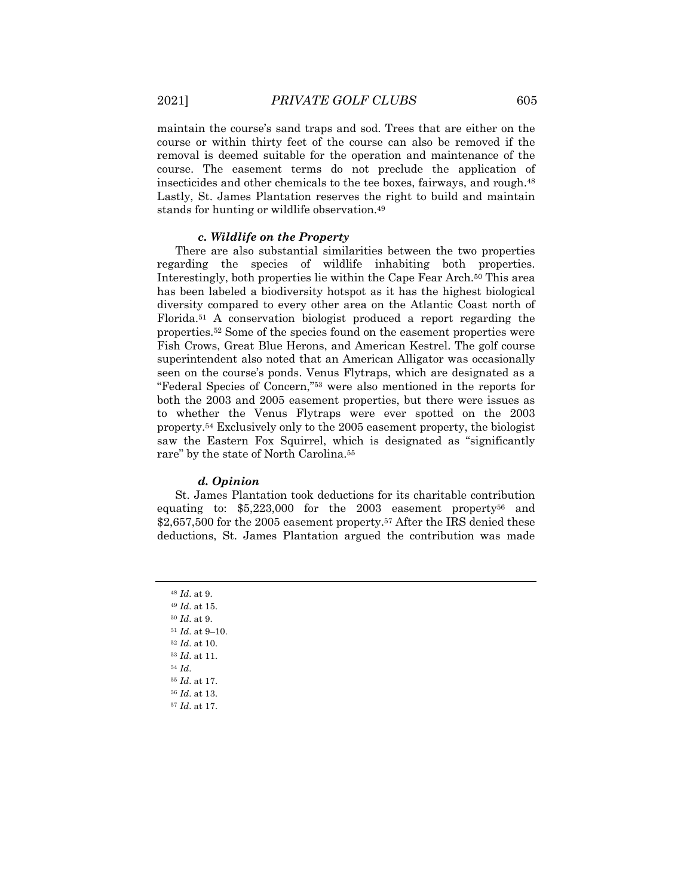maintain the course's sand traps and sod. Trees that are either on the course or within thirty feet of the course can also be removed if the removal is deemed suitable for the operation and maintenance of the course. The easement terms do not preclude the application of insecticides and other chemicals to the tee boxes, fairways, and rough.48 Lastly, St. James Plantation reserves the right to build and maintain stands for hunting or wildlife observation.49

#### *c. Wildlife on the Property*

There are also substantial similarities between the two properties regarding the species of wildlife inhabiting both properties. Interestingly, both properties lie within the Cape Fear Arch.50 This area has been labeled a biodiversity hotspot as it has the highest biological diversity compared to every other area on the Atlantic Coast north of Florida.51 A conservation biologist produced a report regarding the properties.52 Some of the species found on the easement properties were Fish Crows, Great Blue Herons, and American Kestrel. The golf course superintendent also noted that an American Alligator was occasionally seen on the course's ponds. Venus Flytraps, which are designated as a "Federal Species of Concern,"53 were also mentioned in the reports for both the 2003 and 2005 easement properties, but there were issues as to whether the Venus Flytraps were ever spotted on the 2003 property.54 Exclusively only to the 2005 easement property, the biologist saw the Eastern Fox Squirrel, which is designated as "significantly rare" by the state of North Carolina.55

#### *d. Opinion*

St. James Plantation took deductions for its charitable contribution equating to: \$5,223,000 for the 2003 easement property56 and \$2,657,500 for the 2005 easement property.57 After the IRS denied these deductions, St. James Plantation argued the contribution was made

 *Id*. at 9. *Id*. at 15. *Id*. at 9. *Id*. at 9–10. *Id*. at 10. *Id*. at 11. <sup>54</sup> *Id*. *Id*. at 17. *Id*. at 13. *Id*. at 17.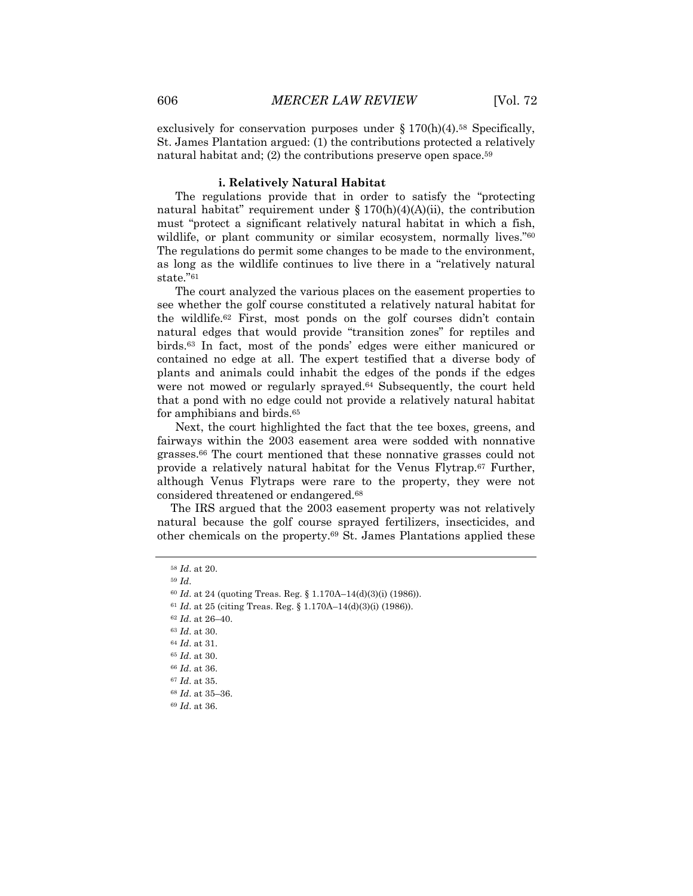exclusively for conservation purposes under  $\S 170(h)(4)$ .<sup>58</sup> Specifically, St. James Plantation argued: (1) the contributions protected a relatively natural habitat and; (2) the contributions preserve open space.<sup>59</sup>

#### **i. Relatively Natural Habitat**

The regulations provide that in order to satisfy the "protecting natural habitat" requirement under  $\S 170(h)(4)(A)(ii)$ , the contribution must "protect a significant relatively natural habitat in which a fish, wildlife, or plant community or similar ecosystem, normally lives.<sup>"60</sup> The regulations do permit some changes to be made to the environment, as long as the wildlife continues to live there in a "relatively natural state."61

The court analyzed the various places on the easement properties to see whether the golf course constituted a relatively natural habitat for the wildlife.62 First, most ponds on the golf courses didn't contain natural edges that would provide "transition zones" for reptiles and birds.63 In fact, most of the ponds' edges were either manicured or contained no edge at all. The expert testified that a diverse body of plants and animals could inhabit the edges of the ponds if the edges were not mowed or regularly sprayed.64 Subsequently, the court held that a pond with no edge could not provide a relatively natural habitat for amphibians and birds.<sup>65</sup>

Next, the court highlighted the fact that the tee boxes, greens, and fairways within the 2003 easement area were sodded with nonnative grasses.66 The court mentioned that these nonnative grasses could not provide a relatively natural habitat for the Venus Flytrap.67 Further, although Venus Flytraps were rare to the property, they were not considered threatened or endangered.68

The IRS argued that the 2003 easement property was not relatively natural because the golf course sprayed fertilizers, insecticides, and other chemicals on the property.69 St. James Plantations applied these

<sup>58</sup> *Id*. at 20.

<sup>59</sup> *Id*.

<sup>60</sup> *Id*. at 24 (quoting Treas. Reg. § 1.170A–14(d)(3)(i) (1986)).

<sup>61</sup> *Id*. at 25 (citing Treas. Reg. § 1.170A–14(d)(3)(i) (1986)).

<sup>62</sup> *Id*. at 26–40.

<sup>63</sup> *Id*. at 30.

<sup>64</sup> *Id*. at 31.

<sup>65</sup> *Id*. at 30.

<sup>66</sup> *Id*. at 36.

<sup>67</sup> *Id*. at 35.

<sup>68</sup> *Id*. at 35–36.

<sup>69</sup> *Id*. at 36.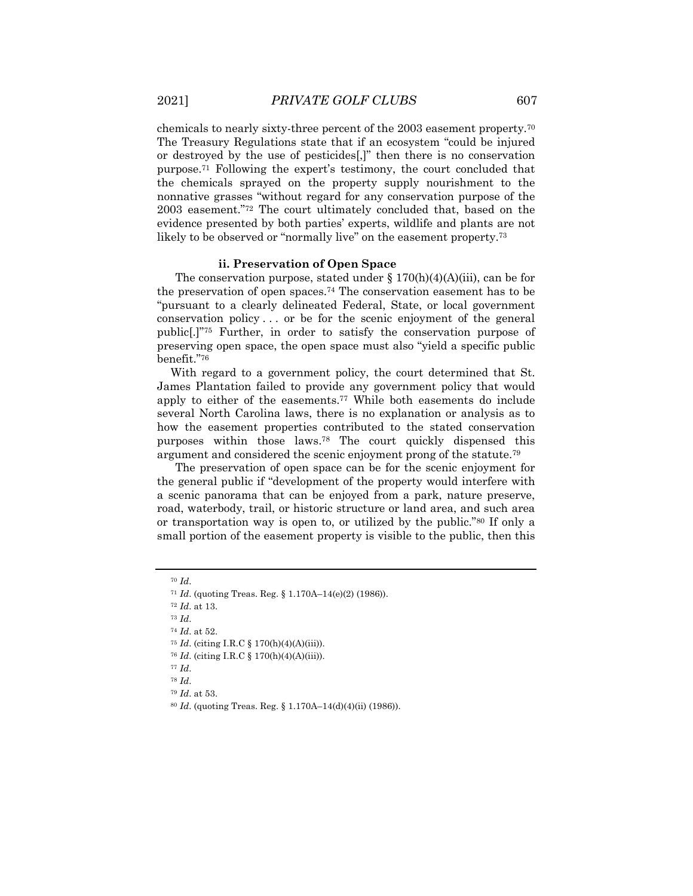chemicals to nearly sixty-three percent of the 2003 easement property.70 The Treasury Regulations state that if an ecosystem "could be injured or destroyed by the use of pesticides[,]" then there is no conservation purpose.71 Following the expert's testimony, the court concluded that the chemicals sprayed on the property supply nourishment to the nonnative grasses "without regard for any conservation purpose of the 2003 easement."72 The court ultimately concluded that, based on the evidence presented by both parties' experts, wildlife and plants are not likely to be observed or "normally live" on the easement property.73

#### **ii. Preservation of Open Space**

The conservation purpose, stated under  $\S 170(h)(4)(A)(iii)$ , can be for the preservation of open spaces.74 The conservation easement has to be "pursuant to a clearly delineated Federal, State, or local government conservation policy . . . or be for the scenic enjoyment of the general public[.]"75 Further, in order to satisfy the conservation purpose of preserving open space, the open space must also "yield a specific public benefit."76

With regard to a government policy, the court determined that St. James Plantation failed to provide any government policy that would apply to either of the easements.77 While both easements do include several North Carolina laws, there is no explanation or analysis as to how the easement properties contributed to the stated conservation purposes within those laws.78 The court quickly dispensed this argument and considered the scenic enjoyment prong of the statute.79

The preservation of open space can be for the scenic enjoyment for the general public if "development of the property would interfere with a scenic panorama that can be enjoyed from a park, nature preserve, road, waterbody, trail, or historic structure or land area, and such area or transportation way is open to, or utilized by the public."80 If only a small portion of the easement property is visible to the public, then this

<sup>70</sup> *Id*.

<sup>71</sup> *Id*. (quoting Treas. Reg. § 1.170A–14(e)(2) (1986)).

<sup>72</sup> *Id*. at 13.

<sup>73</sup> *Id*.

<sup>74</sup> *Id*. at 52.

<sup>75</sup> *Id*. (citing I.R.C § 170(h)(4)(A)(iii)).

<sup>76</sup> *Id*. (citing I.R.C § 170(h)(4)(A)(iii)).

<sup>77</sup> *Id*.

<sup>78</sup> *Id*.

<sup>79</sup> *Id*. at 53.

<sup>80</sup> *Id*. (quoting Treas. Reg. § 1.170A–14(d)(4)(ii) (1986)).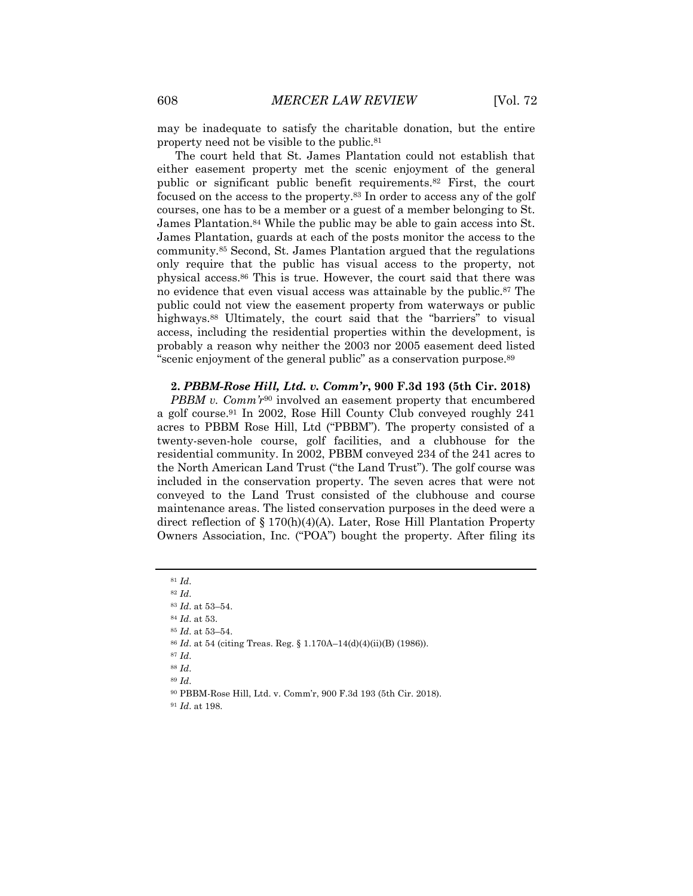may be inadequate to satisfy the charitable donation, but the entire property need not be visible to the public.81

The court held that St. James Plantation could not establish that either easement property met the scenic enjoyment of the general public or significant public benefit requirements.82 First, the court focused on the access to the property.83 In order to access any of the golf courses, one has to be a member or a guest of a member belonging to St. James Plantation.84 While the public may be able to gain access into St. James Plantation, guards at each of the posts monitor the access to the community.85 Second, St. James Plantation argued that the regulations only require that the public has visual access to the property, not physical access.86 This is true. However, the court said that there was no evidence that even visual access was attainable by the public.87 The public could not view the easement property from waterways or public highways.<sup>88</sup> Ultimately, the court said that the "barriers" to visual access, including the residential properties within the development, is probably a reason why neither the 2003 nor 2005 easement deed listed "scenic enjoyment of the general public" as a conservation purpose.89

# **2.** *PBBM-Rose Hill, Ltd. v. Comm'r***, 900 F.3d 193 (5th Cir. 2018)**

*PBBM v. Comm'r*<sup>90</sup> involved an easement property that encumbered a golf course.91 In 2002, Rose Hill County Club conveyed roughly 241 acres to PBBM Rose Hill, Ltd ("PBBM"). The property consisted of a twenty-seven-hole course, golf facilities, and a clubhouse for the residential community. In 2002, PBBM conveyed 234 of the 241 acres to the North American Land Trust ("the Land Trust"). The golf course was included in the conservation property. The seven acres that were not conveyed to the Land Trust consisted of the clubhouse and course maintenance areas. The listed conservation purposes in the deed were a direct reflection of § 170(h)(4)(A). Later, Rose Hill Plantation Property Owners Association, Inc. ("POA") bought the property. After filing its

<sup>82</sup> *Id*.

<sup>84</sup> *Id*. at 53.

- <sup>85</sup> *Id*. at 53–54.
- <sup>86</sup> *Id*. at 54 (citing Treas. Reg. § 1.170A–14(d)(4)(ii)(B) (1986)).
- <sup>87</sup> *Id*.
- <sup>88</sup> *Id*.
- <sup>89</sup> *Id*.
- <sup>90</sup> PBBM-Rose Hill, Ltd. v. Comm'r, 900 F.3d 193 (5th Cir. 2018).
- <sup>91</sup> *Id*. at 198.

<sup>81</sup> *Id*.

<sup>83</sup> *Id*. at 53–54.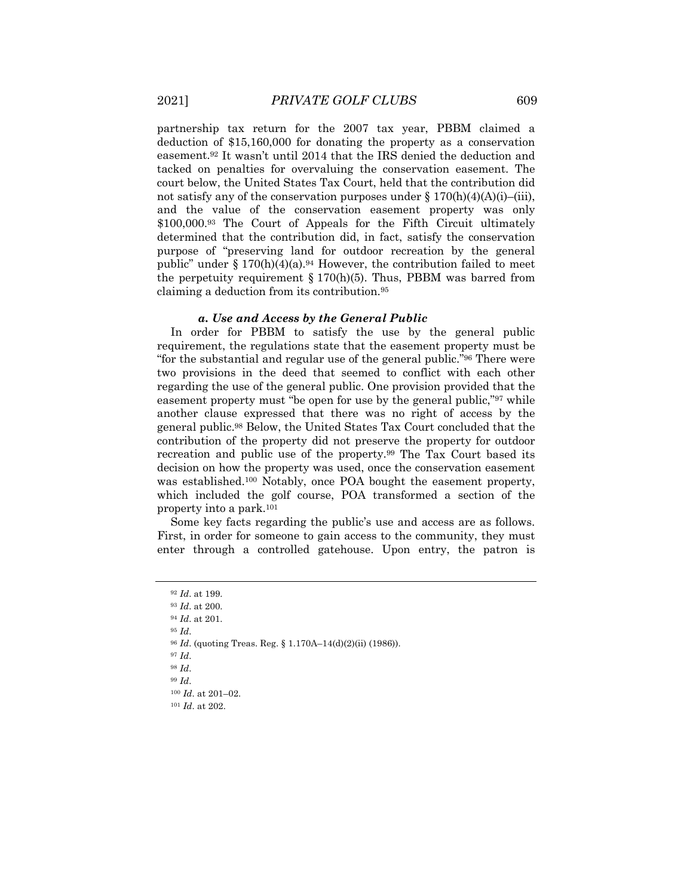partnership tax return for the 2007 tax year, PBBM claimed a deduction of \$15,160,000 for donating the property as a conservation easement.92 It wasn't until 2014 that the IRS denied the deduction and tacked on penalties for overvaluing the conservation easement. The court below, the United States Tax Court, held that the contribution did not satisfy any of the conservation purposes under  $\S 170(h)(4)(A)(i)$ –(iii), and the value of the conservation easement property was only \$100,000.<sup>93</sup> The Court of Appeals for the Fifth Circuit ultimately determined that the contribution did, in fact, satisfy the conservation purpose of "preserving land for outdoor recreation by the general public" under  $\S 170(h)(4)(a)$ .<sup>94</sup> However, the contribution failed to meet the perpetuity requirement  $\S 170(h)(5)$ . Thus, PBBM was barred from claiming a deduction from its contribution.95

#### *a. Use and Access by the General Public*

In order for PBBM to satisfy the use by the general public requirement, the regulations state that the easement property must be "for the substantial and regular use of the general public."96 There were two provisions in the deed that seemed to conflict with each other regarding the use of the general public. One provision provided that the easement property must "be open for use by the general public,"97 while another clause expressed that there was no right of access by the general public.98 Below, the United States Tax Court concluded that the contribution of the property did not preserve the property for outdoor recreation and public use of the property.99 The Tax Court based its decision on how the property was used, once the conservation easement was established.100 Notably, once POA bought the easement property, which included the golf course, POA transformed a section of the property into a park.101

Some key facts regarding the public's use and access are as follows. First, in order for someone to gain access to the community, they must enter through a controlled gatehouse. Upon entry, the patron is

- <sup>96</sup> *Id*. (quoting Treas. Reg. § 1.170A–14(d)(2)(ii) (1986)).
- <sup>97</sup> *Id*.

<sup>92</sup> *Id*. at 199.

<sup>93</sup> *Id*. at 200. <sup>94</sup> *Id*. at 201.

<sup>95</sup> *Id*.

<sup>99</sup> *Id*.

<sup>100</sup> *Id*. at 201–02.

<sup>101</sup> *Id*. at 202.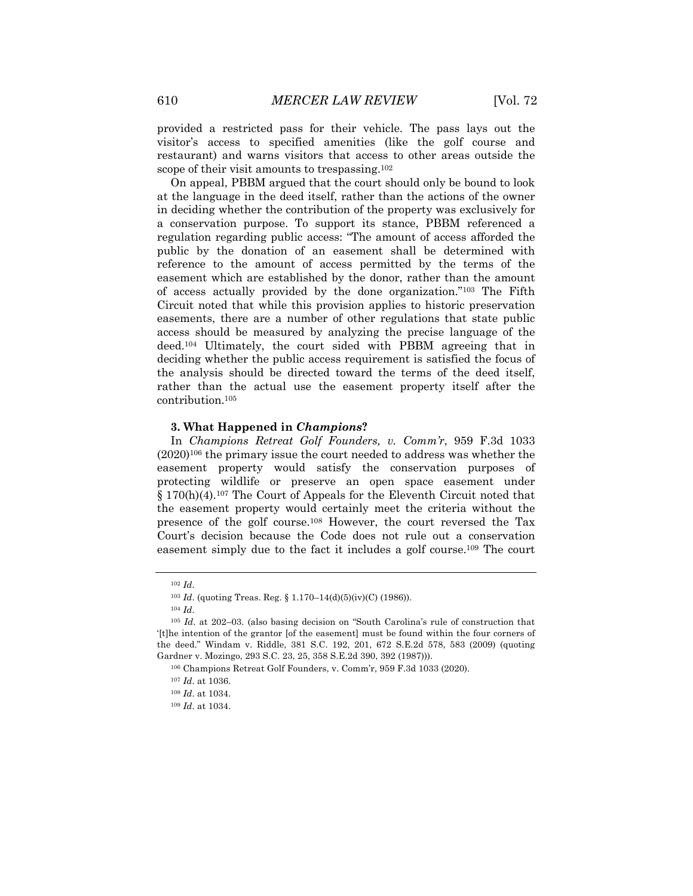provided a restricted pass for their vehicle. The pass lays out the visitor's access to specified amenities (like the golf course and restaurant) and warns visitors that access to other areas outside the scope of their visit amounts to trespassing.102

On appeal, PBBM argued that the court should only be bound to look at the language in the deed itself, rather than the actions of the owner in deciding whether the contribution of the property was exclusively for a conservation purpose. To support its stance, PBBM referenced a regulation regarding public access: "The amount of access afforded the public by the donation of an easement shall be determined with reference to the amount of access permitted by the terms of the easement which are established by the donor, rather than the amount of access actually provided by the done organization."103 The Fifth Circuit noted that while this provision applies to historic preservation easements, there are a number of other regulations that state public access should be measured by analyzing the precise language of the deed.104 Ultimately, the court sided with PBBM agreeing that in deciding whether the public access requirement is satisfied the focus of the analysis should be directed toward the terms of the deed itself, rather than the actual use the easement property itself after the contribution.105

#### **3. What Happened in** *Champions***?**

In *Champions Retreat Golf Founders, v. Comm'r*, 959 F.3d 1033 (2020)106 the primary issue the court needed to address was whether the easement property would satisfy the conservation purposes of protecting wildlife or preserve an open space easement under § 170(h)(4).107 The Court of Appeals for the Eleventh Circuit noted that the easement property would certainly meet the criteria without the presence of the golf course.108 However, the court reversed the Tax Court's decision because the Code does not rule out a conservation easement simply due to the fact it includes a golf course.109 The court

<sup>102</sup> *Id*.

<sup>103</sup> *Id*. (quoting Treas. Reg. § 1.170–14(d)(5)(iv)(C) (1986)).

<sup>104</sup> *Id*.

<sup>105</sup> *Id*. at 202–03. (also basing decision on "South Carolina's rule of construction that '[t]he intention of the grantor [of the easement] must be found within the four corners of the deed." Windam v. Riddle, 381 S.C. 192, 201, 672 S.E.2d 578, 583 (2009) (quoting Gardner v. Mozingo, 293 S.C. 23, 25, 358 S.E.2d 390, 392 (1987))).

<sup>106</sup> Champions Retreat Golf Founders, v. Comm'r, 959 F.3d 1033 (2020).

<sup>107</sup> *Id*. at 1036.

<sup>108</sup> *Id*. at 1034.

<sup>109</sup> *Id*. at 1034.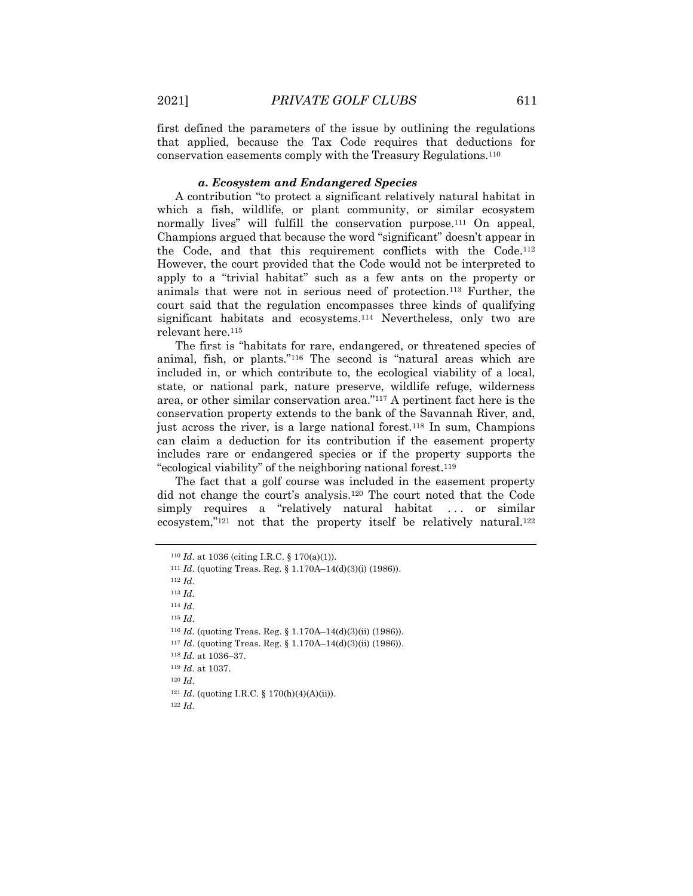first defined the parameters of the issue by outlining the regulations that applied, because the Tax Code requires that deductions for conservation easements comply with the Treasury Regulations.110

#### *a. Ecosystem and Endangered Species*

A contribution "to protect a significant relatively natural habitat in which a fish, wildlife, or plant community, or similar ecosystem normally lives" will fulfill the conservation purpose.<sup>111</sup> On appeal, Champions argued that because the word "significant" doesn't appear in the Code, and that this requirement conflicts with the Code.112 However, the court provided that the Code would not be interpreted to apply to a "trivial habitat" such as a few ants on the property or animals that were not in serious need of protection.113 Further, the court said that the regulation encompasses three kinds of qualifying significant habitats and ecosystems.114 Nevertheless, only two are relevant here.115

The first is "habitats for rare, endangered, or threatened species of animal, fish, or plants."116 The second is "natural areas which are included in, or which contribute to, the ecological viability of a local, state, or national park, nature preserve, wildlife refuge, wilderness area, or other similar conservation area."117 A pertinent fact here is the conservation property extends to the bank of the Savannah River, and, just across the river, is a large national forest.118 In sum, Champions can claim a deduction for its contribution if the easement property includes rare or endangered species or if the property supports the "ecological viability" of the neighboring national forest.119

The fact that a golf course was included in the easement property did not change the court's analysis.120 The court noted that the Code simply requires a "relatively natural habitat ... or similar ecosystem,"<sup>121</sup> not that the property itself be relatively natural.<sup>122</sup>

<sup>110</sup> *Id*. at 1036 (citing I.R.C. § 170(a)(1)).

<sup>111</sup> *Id*. (quoting Treas. Reg. § 1.170A–14(d)(3)(i) (1986)).

<sup>112</sup> *Id*.

<sup>113</sup> *Id*.

<sup>114</sup> *Id*.

<sup>115</sup> *Id*.

<sup>116</sup> *Id*. (quoting Treas. Reg. § 1.170A–14(d)(3)(ii) (1986)).

<sup>117</sup> *Id*. (quoting Treas. Reg. § 1.170A–14(d)(3)(ii) (1986)).

<sup>118</sup> *Id*. at 1036–37.

<sup>119</sup> *Id*. at 1037.

<sup>120</sup> *Id*.

 $121$  *Id.* (quoting I.R.C. § 170(h)(4)(A)(ii)).

<sup>122</sup> *Id*.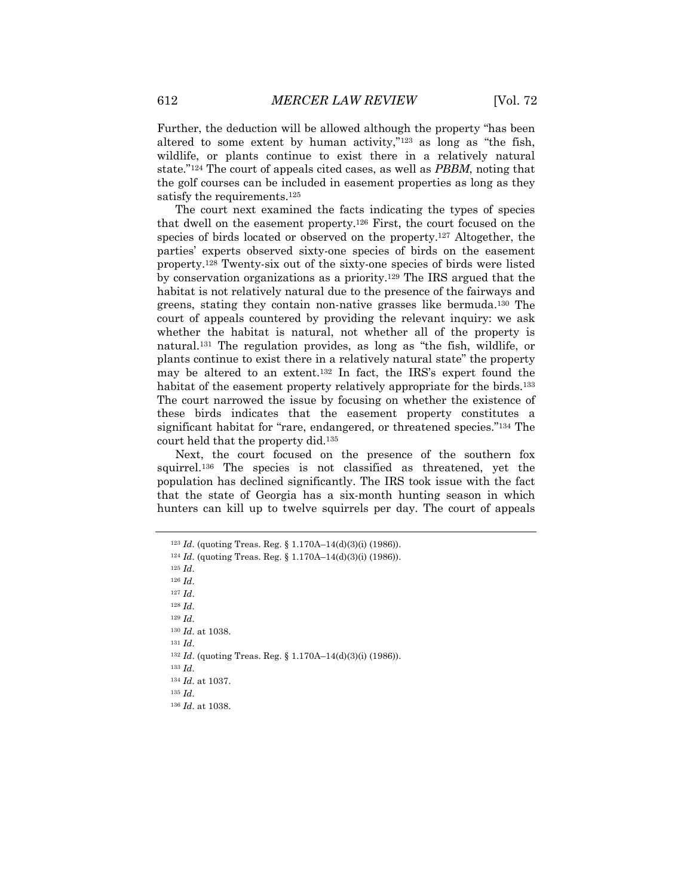Further, the deduction will be allowed although the property "has been altered to some extent by human activity,"123 as long as "the fish, wildlife, or plants continue to exist there in a relatively natural state."124 The court of appeals cited cases, as well as *PBBM*, noting that the golf courses can be included in easement properties as long as they satisfy the requirements.125

The court next examined the facts indicating the types of species that dwell on the easement property.126 First, the court focused on the species of birds located or observed on the property.127 Altogether, the parties' experts observed sixty-one species of birds on the easement property.128 Twenty-six out of the sixty-one species of birds were listed by conservation organizations as a priority.129 The IRS argued that the habitat is not relatively natural due to the presence of the fairways and greens, stating they contain non-native grasses like bermuda.130 The court of appeals countered by providing the relevant inquiry: we ask whether the habitat is natural, not whether all of the property is natural.131 The regulation provides, as long as "the fish, wildlife, or plants continue to exist there in a relatively natural state" the property may be altered to an extent.132 In fact, the IRS's expert found the habitat of the easement property relatively appropriate for the birds.<sup>133</sup> The court narrowed the issue by focusing on whether the existence of these birds indicates that the easement property constitutes a significant habitat for "rare, endangered, or threatened species."134 The court held that the property did.135

Next, the court focused on the presence of the southern fox squirrel.136 The species is not classified as threatened, yet the population has declined significantly. The IRS took issue with the fact that the state of Georgia has a six-month hunting season in which hunters can kill up to twelve squirrels per day. The court of appeals

<sup>125</sup> *Id*.

<sup>126</sup> *Id*.

<sup>127</sup> *Id*.

<sup>128</sup> *Id*.

<sup>129</sup> *Id*.

<sup>130</sup> *Id*. at 1038.

<sup>131</sup> *Id*.

<sup>132</sup> *Id*. (quoting Treas. Reg. § 1.170A–14(d)(3)(i) (1986)).

<sup>133</sup> *Id*.

<sup>134</sup> *Id*. at 1037. <sup>135</sup> *Id*.

<sup>136</sup> *Id*. at 1038.

<sup>123</sup> *Id*. (quoting Treas. Reg. § 1.170A–14(d)(3)(i) (1986)).

<sup>124</sup> *Id*. (quoting Treas. Reg. § 1.170A–14(d)(3)(i) (1986)).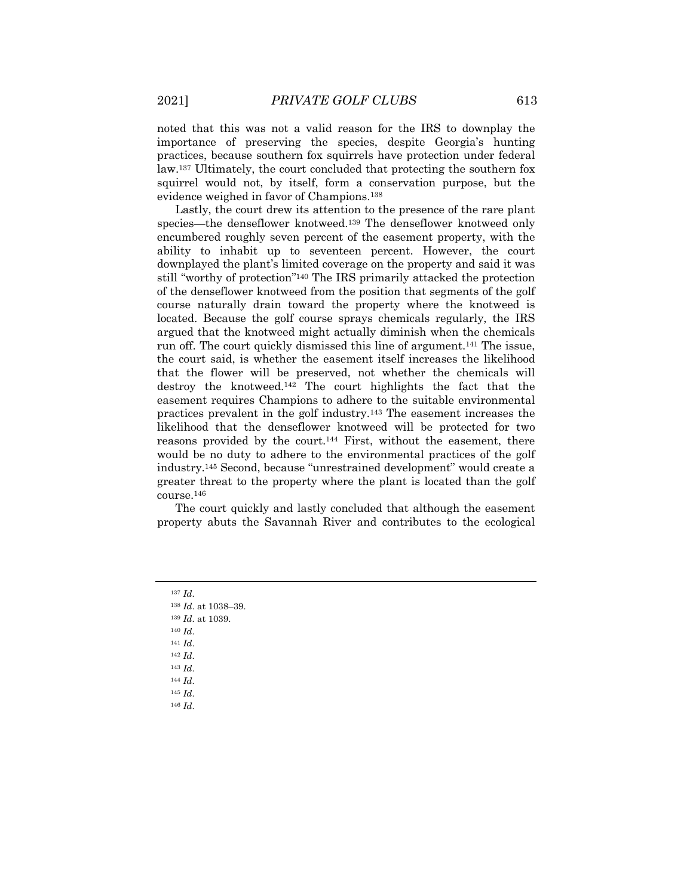noted that this was not a valid reason for the IRS to downplay the importance of preserving the species, despite Georgia's hunting practices, because southern fox squirrels have protection under federal law.137 Ultimately, the court concluded that protecting the southern fox squirrel would not, by itself, form a conservation purpose, but the evidence weighed in favor of Champions.138

Lastly, the court drew its attention to the presence of the rare plant species—the denseflower knotweed.139 The denseflower knotweed only encumbered roughly seven percent of the easement property, with the ability to inhabit up to seventeen percent. However, the court downplayed the plant's limited coverage on the property and said it was still "worthy of protection"140 The IRS primarily attacked the protection of the denseflower knotweed from the position that segments of the golf course naturally drain toward the property where the knotweed is located. Because the golf course sprays chemicals regularly, the IRS argued that the knotweed might actually diminish when the chemicals run off. The court quickly dismissed this line of argument.141 The issue, the court said, is whether the easement itself increases the likelihood that the flower will be preserved, not whether the chemicals will destroy the knotweed.142 The court highlights the fact that the easement requires Champions to adhere to the suitable environmental practices prevalent in the golf industry.143 The easement increases the likelihood that the denseflower knotweed will be protected for two reasons provided by the court.144 First, without the easement, there would be no duty to adhere to the environmental practices of the golf industry.145 Second, because "unrestrained development" would create a greater threat to the property where the plant is located than the golf course.146

The court quickly and lastly concluded that although the easement property abuts the Savannah River and contributes to the ecological

- <sup>139</sup> *Id*. at 1039.
- <sup>140</sup> *Id*.
- <sup>141</sup> *Id*.

- <sup>143</sup> *Id*.
- <sup>144</sup> *Id*. <sup>145</sup> *Id*.
- <sup>146</sup> *Id*.

<sup>137</sup> *Id*.

<sup>138</sup> *Id*. at 1038–39.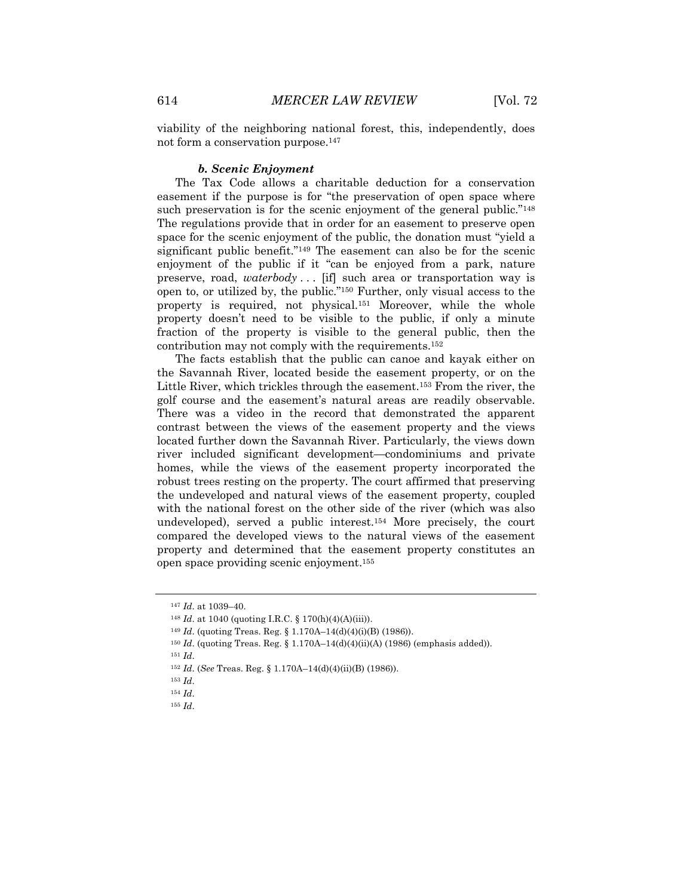viability of the neighboring national forest, this, independently, does not form a conservation purpose.147

#### *b. Scenic Enjoyment*

The Tax Code allows a charitable deduction for a conservation easement if the purpose is for "the preservation of open space where such preservation is for the scenic enjoyment of the general public."<sup>148</sup> The regulations provide that in order for an easement to preserve open space for the scenic enjoyment of the public, the donation must "yield a significant public benefit."149 The easement can also be for the scenic enjoyment of the public if it "can be enjoyed from a park, nature preserve, road, *waterbody* . . . [if] such area or transportation way is open to, or utilized by, the public."150 Further, only visual access to the property is required, not physical.151 Moreover, while the whole property doesn't need to be visible to the public, if only a minute fraction of the property is visible to the general public, then the contribution may not comply with the requirements.152

The facts establish that the public can canoe and kayak either on the Savannah River, located beside the easement property, or on the Little River, which trickles through the easement.153 From the river, the golf course and the easement's natural areas are readily observable. There was a video in the record that demonstrated the apparent contrast between the views of the easement property and the views located further down the Savannah River. Particularly, the views down river included significant development—condominiums and private homes, while the views of the easement property incorporated the robust trees resting on the property. The court affirmed that preserving the undeveloped and natural views of the easement property, coupled with the national forest on the other side of the river (which was also undeveloped), served a public interest.154 More precisely, the court compared the developed views to the natural views of the easement property and determined that the easement property constitutes an open space providing scenic enjoyment.155

<sup>147</sup> *Id*. at 1039–40.

<sup>148</sup> *Id*. at 1040 (quoting I.R.C. § 170(h)(4)(A)(iii)).

<sup>149</sup> *Id*. (quoting Treas. Reg. § 1.170A–14(d)(4)(i)(B) (1986)).

<sup>150</sup> *Id*. (quoting Treas. Reg. § 1.170A–14(d)(4)(ii)(A) (1986) (emphasis added)).

<sup>152</sup> *Id*. (*See* Treas. Reg. § 1.170A–14(d)(4)(ii)(B) (1986)).

<sup>153</sup> *Id*.

<sup>154</sup> *Id*.

<sup>155</sup> *Id*.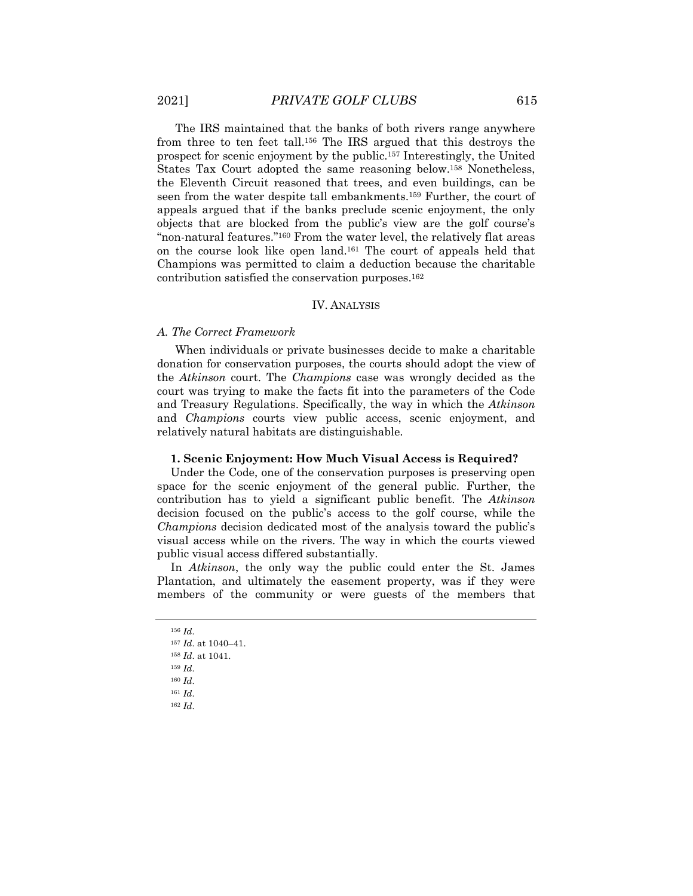The IRS maintained that the banks of both rivers range anywhere from three to ten feet tall.156 The IRS argued that this destroys the prospect for scenic enjoyment by the public.157 Interestingly, the United States Tax Court adopted the same reasoning below.158 Nonetheless, the Eleventh Circuit reasoned that trees, and even buildings, can be seen from the water despite tall embankments.159 Further, the court of appeals argued that if the banks preclude scenic enjoyment, the only objects that are blocked from the public's view are the golf course's "non-natural features."160 From the water level, the relatively flat areas on the course look like open land.161 The court of appeals held that Champions was permitted to claim a deduction because the charitable contribution satisfied the conservation purposes.162

#### IV. ANALYSIS

#### *A. The Correct Framework*

When individuals or private businesses decide to make a charitable donation for conservation purposes, the courts should adopt the view of the *Atkinson* court. The *Champions* case was wrongly decided as the court was trying to make the facts fit into the parameters of the Code and Treasury Regulations. Specifically, the way in which the *Atkinson* and *Champions* courts view public access, scenic enjoyment, and relatively natural habitats are distinguishable.

#### **1. Scenic Enjoyment: How Much Visual Access is Required?**

Under the Code, one of the conservation purposes is preserving open space for the scenic enjoyment of the general public. Further, the contribution has to yield a significant public benefit. The *Atkinson* decision focused on the public's access to the golf course, while the *Champions* decision dedicated most of the analysis toward the public's visual access while on the rivers. The way in which the courts viewed public visual access differed substantially.

In *Atkinson*, the only way the public could enter the St. James Plantation, and ultimately the easement property, was if they were members of the community or were guests of the members that

<sup>156</sup> *Id*.

<sup>157</sup> *Id*. at 1040–41.

<sup>158</sup> *Id*. at 1041.

<sup>159</sup> *Id*.

<sup>160</sup> *Id*.

<sup>161</sup> *Id*.

<sup>162</sup> *Id*.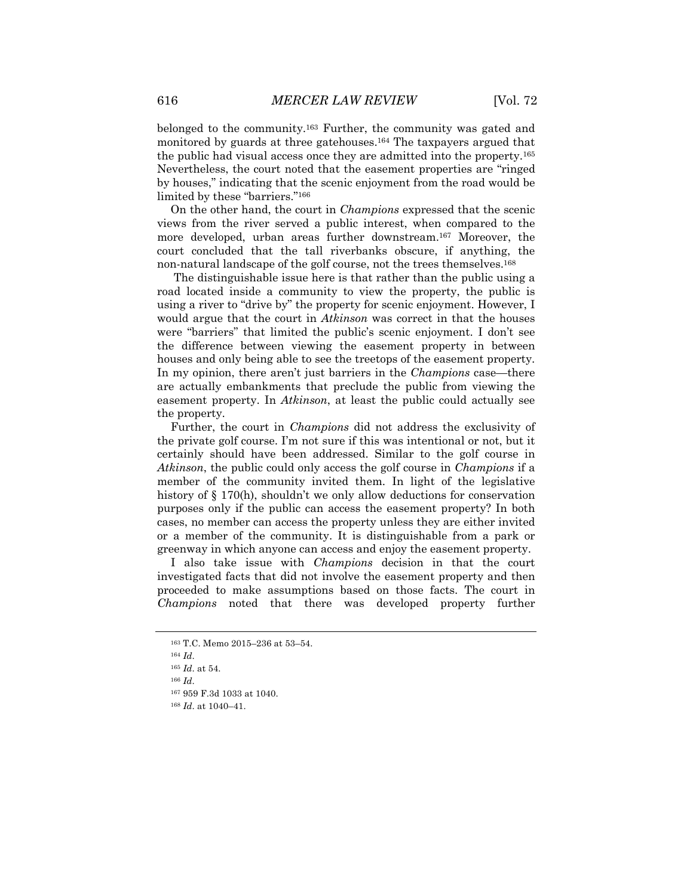belonged to the community.163 Further, the community was gated and monitored by guards at three gatehouses.164 The taxpayers argued that the public had visual access once they are admitted into the property.165 Nevertheless, the court noted that the easement properties are "ringed by houses," indicating that the scenic enjoyment from the road would be limited by these "barriers."166

On the other hand, the court in *Champions* expressed that the scenic views from the river served a public interest, when compared to the more developed, urban areas further downstream.167 Moreover, the court concluded that the tall riverbanks obscure, if anything, the non-natural landscape of the golf course, not the trees themselves.168

The distinguishable issue here is that rather than the public using a road located inside a community to view the property, the public is using a river to "drive by" the property for scenic enjoyment. However, I would argue that the court in *Atkinson* was correct in that the houses were "barriers" that limited the public's scenic enjoyment. I don't see the difference between viewing the easement property in between houses and only being able to see the treetops of the easement property. In my opinion, there aren't just barriers in the *Champions* case—there are actually embankments that preclude the public from viewing the easement property. In *Atkinson*, at least the public could actually see the property.

Further, the court in *Champions* did not address the exclusivity of the private golf course. I'm not sure if this was intentional or not, but it certainly should have been addressed. Similar to the golf course in *Atkinson*, the public could only access the golf course in *Champions* if a member of the community invited them. In light of the legislative history of § 170(h), shouldn't we only allow deductions for conservation purposes only if the public can access the easement property? In both cases, no member can access the property unless they are either invited or a member of the community. It is distinguishable from a park or greenway in which anyone can access and enjoy the easement property.

I also take issue with *Champions* decision in that the court investigated facts that did not involve the easement property and then proceeded to make assumptions based on those facts. The court in *Champions* noted that there was developed property further

<sup>163</sup> T.C. Memo 2015–236 at 53–54.

<sup>165</sup> *Id*. at 54.

<sup>166</sup> *Id*.

<sup>167</sup> 959 F.3d 1033 at 1040.

<sup>168</sup> *Id*. at 1040–41.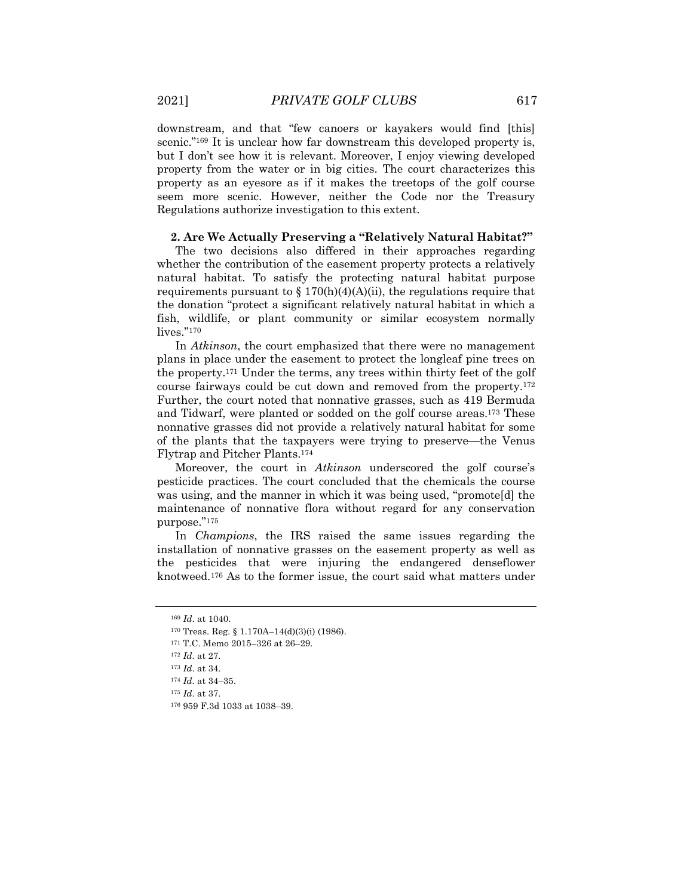downstream, and that "few canoers or kayakers would find [this] scenic."<sup>169</sup> It is unclear how far downstream this developed property is, but I don't see how it is relevant. Moreover, I enjoy viewing developed property from the water or in big cities. The court characterizes this property as an eyesore as if it makes the treetops of the golf course seem more scenic. However, neither the Code nor the Treasury Regulations authorize investigation to this extent.

#### **2. Are We Actually Preserving a "Relatively Natural Habitat?"**

The two decisions also differed in their approaches regarding whether the contribution of the easement property protects a relatively natural habitat. To satisfy the protecting natural habitat purpose requirements pursuant to  $\S 170(h)(4)(A)(ii)$ , the regulations require that the donation "protect a significant relatively natural habitat in which a fish, wildlife, or plant community or similar ecosystem normally lives."<sup>170</sup>

In *Atkinson*, the court emphasized that there were no management plans in place under the easement to protect the longleaf pine trees on the property.171 Under the terms, any trees within thirty feet of the golf course fairways could be cut down and removed from the property.172 Further, the court noted that nonnative grasses, such as 419 Bermuda and Tidwarf, were planted or sodded on the golf course areas.173 These nonnative grasses did not provide a relatively natural habitat for some of the plants that the taxpayers were trying to preserve—the Venus Flytrap and Pitcher Plants.174

Moreover, the court in *Atkinson* underscored the golf course's pesticide practices. The court concluded that the chemicals the course was using, and the manner in which it was being used, "promote[d] the maintenance of nonnative flora without regard for any conservation purpose."175

In *Champions*, the IRS raised the same issues regarding the installation of nonnative grasses on the easement property as well as the pesticides that were injuring the endangered denseflower knotweed.176 As to the former issue, the court said what matters under

<sup>169</sup> *Id*. at 1040.

<sup>170</sup> Treas. Reg. § 1.170A–14(d)(3)(i) (1986).

<sup>171</sup> T.C. Memo 2015–326 at 26–29.

<sup>172</sup> *Id*. at 27.

<sup>173</sup> *Id*. at 34.

<sup>174</sup> *Id*. at 34–35.

<sup>175</sup> *Id*. at 37.

<sup>176</sup> 959 F.3d 1033 at 1038–39.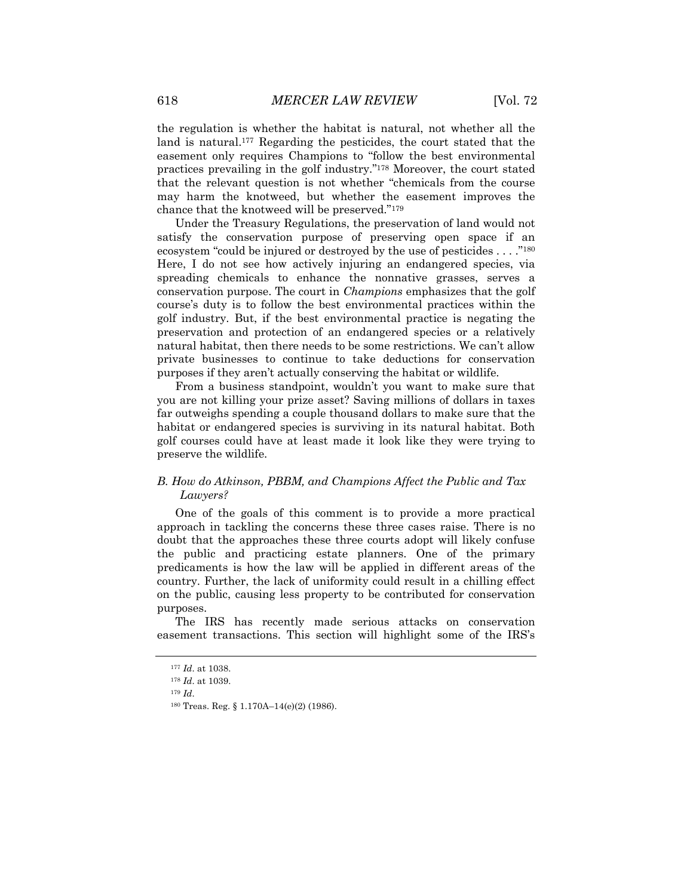the regulation is whether the habitat is natural, not whether all the land is natural.177 Regarding the pesticides, the court stated that the easement only requires Champions to "follow the best environmental practices prevailing in the golf industry."178 Moreover, the court stated that the relevant question is not whether "chemicals from the course may harm the knotweed, but whether the easement improves the chance that the knotweed will be preserved."179

Under the Treasury Regulations, the preservation of land would not satisfy the conservation purpose of preserving open space if an ecosystem "could be injured or destroyed by the use of pesticides . . . ."180 Here, I do not see how actively injuring an endangered species, via spreading chemicals to enhance the nonnative grasses, serves a conservation purpose. The court in *Champions* emphasizes that the golf course's duty is to follow the best environmental practices within the golf industry. But, if the best environmental practice is negating the preservation and protection of an endangered species or a relatively natural habitat, then there needs to be some restrictions. We can't allow private businesses to continue to take deductions for conservation purposes if they aren't actually conserving the habitat or wildlife.

From a business standpoint, wouldn't you want to make sure that you are not killing your prize asset? Saving millions of dollars in taxes far outweighs spending a couple thousand dollars to make sure that the habitat or endangered species is surviving in its natural habitat. Both golf courses could have at least made it look like they were trying to preserve the wildlife.

# *B. How do Atkinson, PBBM, and Champions Affect the Public and Tax Lawyers?*

One of the goals of this comment is to provide a more practical approach in tackling the concerns these three cases raise. There is no doubt that the approaches these three courts adopt will likely confuse the public and practicing estate planners. One of the primary predicaments is how the law will be applied in different areas of the country. Further, the lack of uniformity could result in a chilling effect on the public, causing less property to be contributed for conservation purposes.

The IRS has recently made serious attacks on conservation easement transactions. This section will highlight some of the IRS's

<sup>177</sup> *Id*. at 1038.

<sup>178</sup> *Id*. at 1039.

<sup>179</sup> *Id*.

<sup>180</sup> Treas. Reg. § 1.170A–14(e)(2) (1986).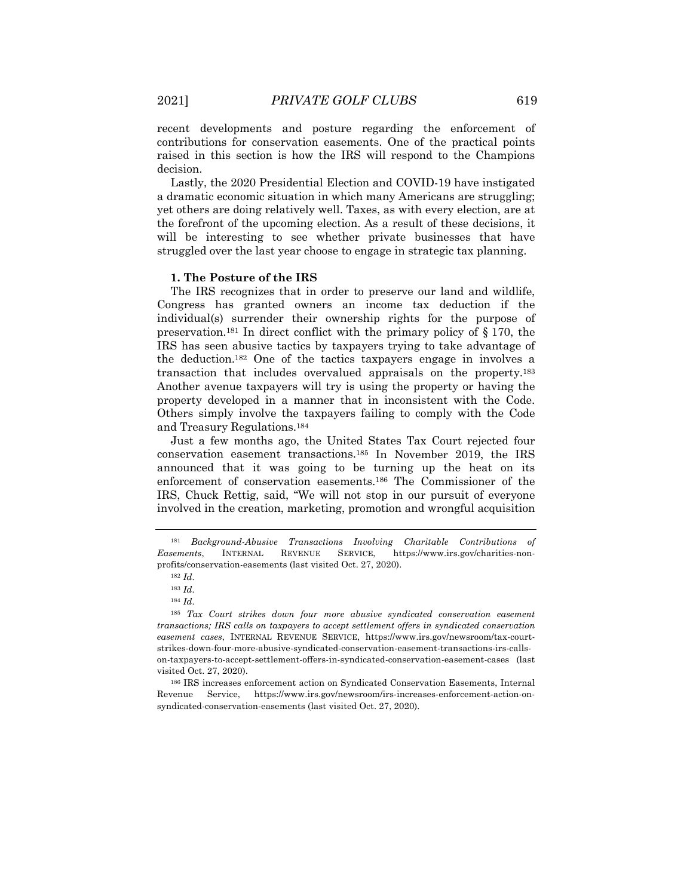recent developments and posture regarding the enforcement of contributions for conservation easements. One of the practical points raised in this section is how the IRS will respond to the Champions decision.

Lastly, the 2020 Presidential Election and COVID-19 have instigated a dramatic economic situation in which many Americans are struggling; yet others are doing relatively well. Taxes, as with every election, are at the forefront of the upcoming election. As a result of these decisions, it will be interesting to see whether private businesses that have struggled over the last year choose to engage in strategic tax planning.

#### **1. The Posture of the IRS**

The IRS recognizes that in order to preserve our land and wildlife, Congress has granted owners an income tax deduction if the individual(s) surrender their ownership rights for the purpose of preservation.<sup>181</sup> In direct conflict with the primary policy of  $\S 170$ , the IRS has seen abusive tactics by taxpayers trying to take advantage of the deduction.182 One of the tactics taxpayers engage in involves a transaction that includes overvalued appraisals on the property.183 Another avenue taxpayers will try is using the property or having the property developed in a manner that in inconsistent with the Code. Others simply involve the taxpayers failing to comply with the Code and Treasury Regulations.184

Just a few months ago, the United States Tax Court rejected four conservation easement transactions.185 In November 2019, the IRS announced that it was going to be turning up the heat on its enforcement of conservation easements.186 The Commissioner of the IRS, Chuck Rettig, said, "We will not stop in our pursuit of everyone involved in the creation, marketing, promotion and wrongful acquisition

<sup>181</sup> *Background-Abusive Transactions Involving Charitable Contributions of Easements*, INTERNAL REVENUE SERVICE, https://www.irs.gov/charities-nonprofits/conservation-easements (last visited Oct. 27, 2020).

<sup>182</sup> *Id*.

<sup>183</sup> *Id*.

<sup>184</sup> *Id*.

<sup>185</sup> *Tax Court strikes down four more abusive syndicated conservation easement transactions; IRS calls on taxpayers to accept settlement offers in syndicated conservation easement cases*, INTERNAL REVENUE SERVICE, https://www.irs.gov/newsroom/tax-courtstrikes-down-four-more-abusive-syndicated-conservation-easement-transactions-irs-callson-taxpayers-to-accept-settlement-offers-in-syndicated-conservation-easement-cases (last visited Oct. 27, 2020).

<sup>186</sup> IRS increases enforcement action on Syndicated Conservation Easements, Internal Revenue Service, https://www.irs.gov/newsroom/irs-increases-enforcement-action-onsyndicated-conservation-easements (last visited Oct. 27, 2020).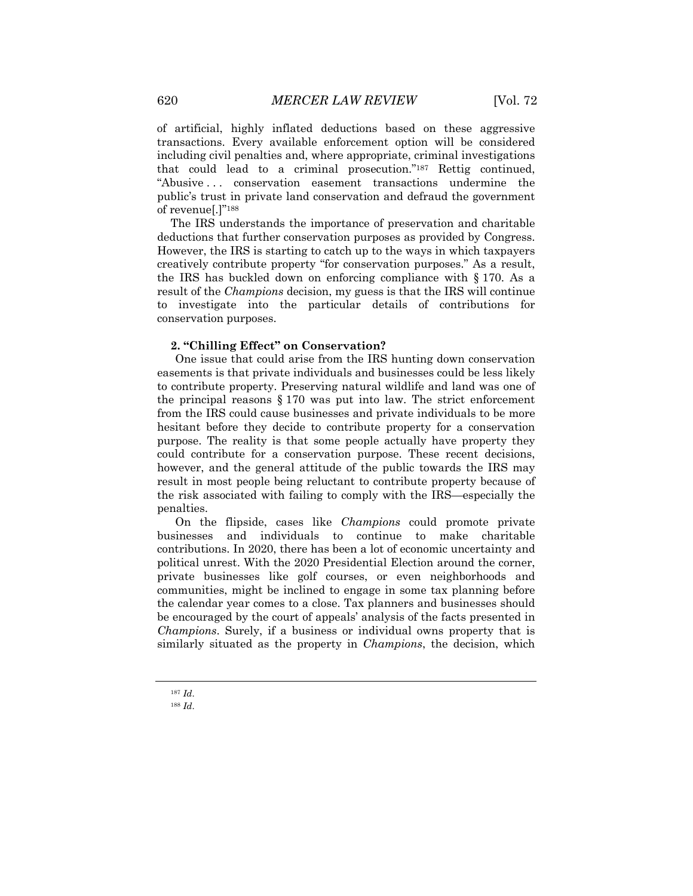of artificial, highly inflated deductions based on these aggressive transactions. Every available enforcement option will be considered including civil penalties and, where appropriate, criminal investigations that could lead to a criminal prosecution."187 Rettig continued, "Abusive . . . conservation easement transactions undermine the public's trust in private land conservation and defraud the government of revenue[.]"188

The IRS understands the importance of preservation and charitable deductions that further conservation purposes as provided by Congress. However, the IRS is starting to catch up to the ways in which taxpayers creatively contribute property "for conservation purposes." As a result, the IRS has buckled down on enforcing compliance with § 170. As a result of the *Champions* decision, my guess is that the IRS will continue to investigate into the particular details of contributions for conservation purposes.

## **2. "Chilling Effect" on Conservation?**

One issue that could arise from the IRS hunting down conservation easements is that private individuals and businesses could be less likely to contribute property. Preserving natural wildlife and land was one of the principal reasons § 170 was put into law. The strict enforcement from the IRS could cause businesses and private individuals to be more hesitant before they decide to contribute property for a conservation purpose. The reality is that some people actually have property they could contribute for a conservation purpose. These recent decisions, however, and the general attitude of the public towards the IRS may result in most people being reluctant to contribute property because of the risk associated with failing to comply with the IRS—especially the penalties.

On the flipside, cases like *Champions* could promote private businesses and individuals to continue to make charitable contributions. In 2020, there has been a lot of economic uncertainty and political unrest. With the 2020 Presidential Election around the corner, private businesses like golf courses, or even neighborhoods and communities, might be inclined to engage in some tax planning before the calendar year comes to a close. Tax planners and businesses should be encouraged by the court of appeals' analysis of the facts presented in *Champions*. Surely, if a business or individual owns property that is similarly situated as the property in *Champions*, the decision, which

<sup>187</sup> *Id*.

<sup>188</sup> *Id*.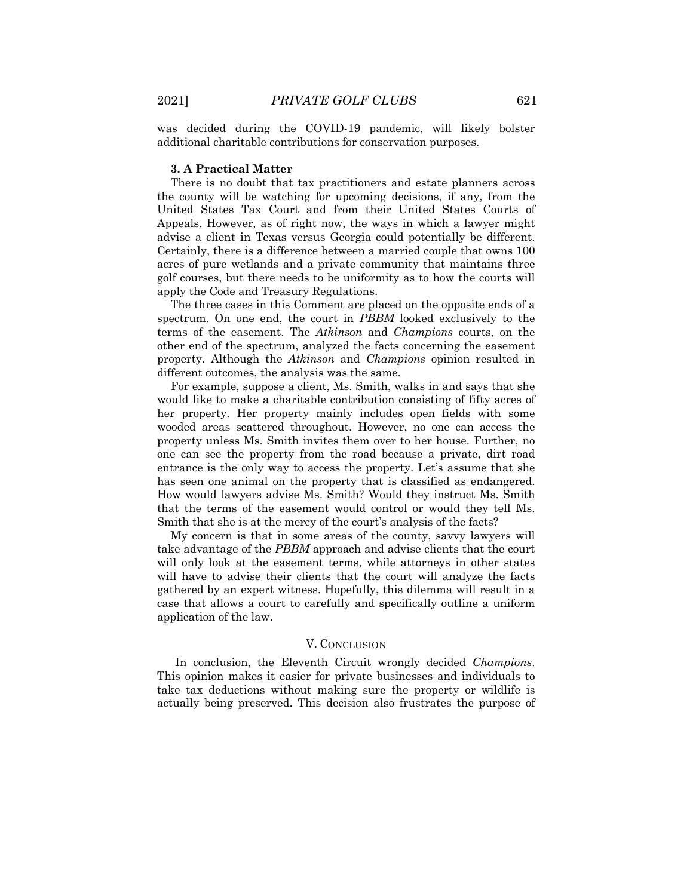was decided during the COVID-19 pandemic, will likely bolster additional charitable contributions for conservation purposes.

#### **3. A Practical Matter**

There is no doubt that tax practitioners and estate planners across the county will be watching for upcoming decisions, if any, from the United States Tax Court and from their United States Courts of Appeals. However, as of right now, the ways in which a lawyer might advise a client in Texas versus Georgia could potentially be different. Certainly, there is a difference between a married couple that owns 100 acres of pure wetlands and a private community that maintains three golf courses, but there needs to be uniformity as to how the courts will apply the Code and Treasury Regulations.

The three cases in this Comment are placed on the opposite ends of a spectrum. On one end, the court in *PBBM* looked exclusively to the terms of the easement. The *Atkinson* and *Champions* courts, on the other end of the spectrum, analyzed the facts concerning the easement property. Although the *Atkinson* and *Champions* opinion resulted in different outcomes, the analysis was the same.

For example, suppose a client, Ms. Smith, walks in and says that she would like to make a charitable contribution consisting of fifty acres of her property. Her property mainly includes open fields with some wooded areas scattered throughout. However, no one can access the property unless Ms. Smith invites them over to her house. Further, no one can see the property from the road because a private, dirt road entrance is the only way to access the property. Let's assume that she has seen one animal on the property that is classified as endangered. How would lawyers advise Ms. Smith? Would they instruct Ms. Smith that the terms of the easement would control or would they tell Ms. Smith that she is at the mercy of the court's analysis of the facts?

My concern is that in some areas of the county, savvy lawyers will take advantage of the *PBBM* approach and advise clients that the court will only look at the easement terms, while attorneys in other states will have to advise their clients that the court will analyze the facts gathered by an expert witness. Hopefully, this dilemma will result in a case that allows a court to carefully and specifically outline a uniform application of the law.

#### V. CONCLUSION

In conclusion, the Eleventh Circuit wrongly decided *Champions*. This opinion makes it easier for private businesses and individuals to take tax deductions without making sure the property or wildlife is actually being preserved. This decision also frustrates the purpose of